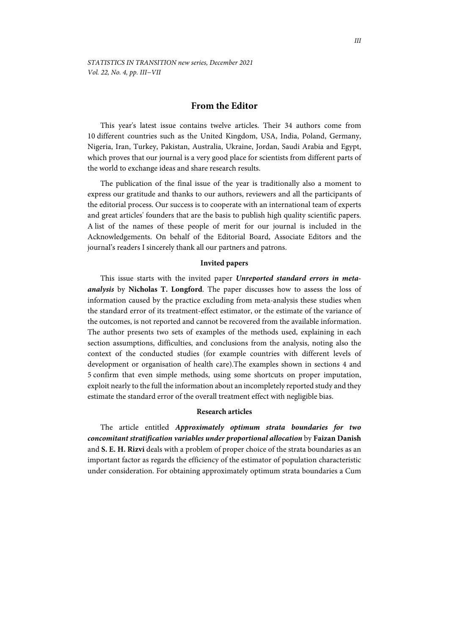## **From the Editor**

This year's latest issue contains twelve articles. Their 34 authors come from 10 different countries such as the United Kingdom, USA, India, Poland, Germany, Nigeria, Iran, Turkey, Pakistan, Australia, Ukraine, Jordan, Saudi Arabia and Egypt, which proves that our journal is a very good place for scientists from different parts of the world to exchange ideas and share research results.

The publication of the final issue of the year is traditionally also a moment to express our gratitude and thanks to our authors, reviewers and all the participants of the editorial process. Our success is to cooperate with an international team of experts and great articles' founders that are the basis to publish high quality scientific papers. A list of the names of these people of merit for our journal is included in the Acknowledgements. On behalf of the Editorial Board, Associate Editors and the journal's readers I sincerely thank all our partners and patrons.

## **Invited papers**

This issue starts with the invited paper *Unreported standard errors in metaanalysis* by **Nicholas T. Longford**. The paper discusses how to assess the loss of information caused by the practice excluding from meta-analysis these studies when the standard error of its treatment-effect estimator, or the estimate of the variance of the outcomes, is not reported and cannot be recovered from the available information. The author presents two sets of examples of the methods used, explaining in each section assumptions, difficulties, and conclusions from the analysis, noting also the context of the conducted studies (for example countries with different levels of development or organisation of health care).The examples shown in sections 4 and 5 confirm that even simple methods, using some shortcuts on proper imputation, exploit nearly to the full the information about an incompletely reported study and they estimate the standard error of the overall treatment effect with negligible bias.

## **Research articles**

The article entitled *Approximately optimum strata boundaries for two concomitant stratification variables under proportional allocation* by **Faizan Danish**  and **S. E. H. Rizvi** deals with a problem of proper choice of the strata boundaries as an important factor as regards the efficiency of the estimator of population characteristic under consideration. For obtaining approximately optimum strata boundaries a Cum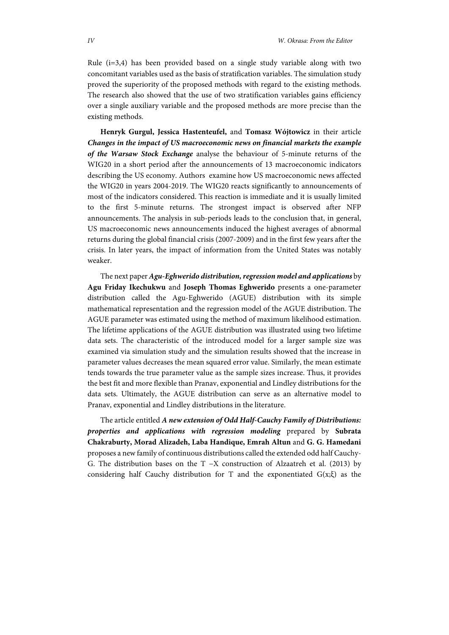Rule  $(i=3,4)$  has been provided based on a single study variable along with two concomitant variables used as the basis of stratification variables. The simulation study proved the superiority of the proposed methods with regard to the existing methods. The research also showed that the use of two stratification variables gains efficiency over a single auxiliary variable and the proposed methods are more precise than the existing methods.

**Henryk Gurgul, Jessica Hastenteufel,** and **Tomasz Wójtowicz** in their article *Changes in the impact of US macroeconomic news on financial markets the example of the Warsaw Stock Exchange* analyse the behaviour of 5-minute returns of the WIG20 in a short period after the announcements of 13 macroeconomic indicators describing the US economy. Authors examine how US macroeconomic news affected the WIG20 in years 2004-2019. The WIG20 reacts significantly to announcements of most of the indicators considered. This reaction is immediate and it is usually limited to the first 5-minute returns. The strongest impact is observed after NFP announcements. The analysis in sub-periods leads to the conclusion that, in general, US macroeconomic news announcements induced the highest averages of abnormal returns during the global financial crisis (2007-2009) and in the first few years after the crisis. In later years, the impact of information from the United States was notably weaker.

The next paper *Agu-Eghwerido distribution, regression model and applications* by **Agu Friday Ikechukwu** and **Joseph Thomas Eghwerido** presents a one-parameter distribution called the Agu-Eghwerido (AGUE) distribution with its simple mathematical representation and the regression model of the AGUE distribution. The AGUE parameter was estimated using the method of maximum likelihood estimation. The lifetime applications of the AGUE distribution was illustrated using two lifetime data sets. The characteristic of the introduced model for a larger sample size was examined via simulation study and the simulation results showed that the increase in parameter values decreases the mean squared error value. Similarly, the mean estimate tends towards the true parameter value as the sample sizes increase. Thus, it provides the best fit and more flexible than Pranav, exponential and Lindley distributions for the data sets. Ultimately, the AGUE distribution can serve as an alternative model to Pranav, exponential and Lindley distributions in the literature.

The article entitled *A new extension of Odd Half-Cauchy Family of Distributions: properties and applications with regression modeling* prepared by **Subrata Chakraburty, Morad Alizadeh, Laba Handique, Emrah Altun** and **G. G. Hamedani** proposes a new family of continuous distributions called the extended odd half Cauchy-G. The distribution bases on the T −X construction of Alzaatreh et al. (2013) by considering half Cauchy distribution for T and the exponentiated  $G(x;\xi)$  as the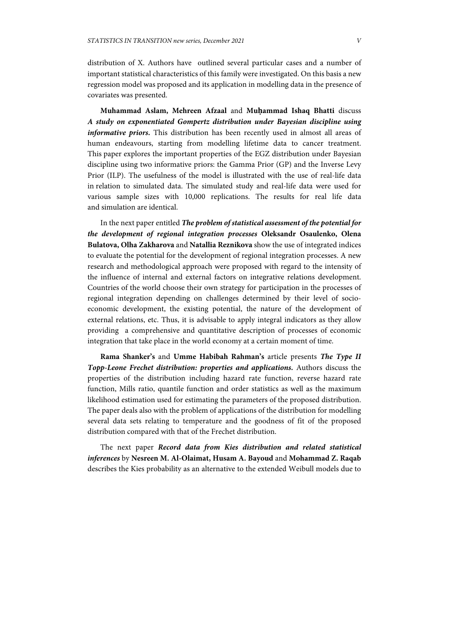distribution of X. Authors have outlined several particular cases and a number of important statistical characteristics of this family were investigated. On this basis a new regression model was proposed and its application in modelling data in the presence of covariates was presented.

**Muhammad Aslam, Mehreen Afzaal** and **Muḥammad Ishaq Bhatti** discuss *A study on exponentiated Gompertz distribution under Bayesian discipline using informative priors.* This distribution has been recently used in almost all areas of human endeavours, starting from modelling lifetime data to cancer treatment. This paper explores the important properties of the EGZ distribution under Bayesian discipline using two informative priors: the Gamma Prior (GP) and the Inverse Levy Prior (ILP). The usefulness of the model is illustrated with the use of real-life data in relation to simulated data. The simulated study and real-life data were used for various sample sizes with 10,000 replications. The results for real life data and simulation are identical.

In the next paper entitled *The problem of statistical assessment of the potential for the development of regional integration processes* **Oleksandr Osaulenko, Olena Bulatova, Olha Zakharova** and **Natallia Reznikova** show the use of integrated indices to evaluate the potential for the development of regional integration processes. A new research and methodological approach were proposed with regard to the intensity of the influence of internal and external factors on integrative relations development. Countries of the world choose their own strategy for participation in the processes of regional integration depending on challenges determined by their level of socioeconomic development, the existing potential, the nature of the development of external relations, etc. Thus, it is advisable to apply integral indicators as they allow providing a comprehensive and quantitative description of processes of economic integration that take place in the world economy at a certain moment of time.

**Rama Shanker's** and **Umme Habibah Rahman's** article presents *The Type II Topp-Leone Frechet distribution: properties and applications.* Authors discuss the properties of the distribution including hazard rate function, reverse hazard rate function, Mills ratio, quantile function and order statistics as well as the maximum likelihood estimation used for estimating the parameters of the proposed distribution. The paper deals also with the problem of applications of the distribution for modelling several data sets relating to temperature and the goodness of fit of the proposed distribution compared with that of the Frechet distribution.

The next paper *Record data from Kies distribution and related statistical inferences* by **Nesreen M. Al-Olaimat, Husam A. Bayoud** and **Mohammad Z. Raqab**  describes the Kies probability as an alternative to the extended Weibull models due to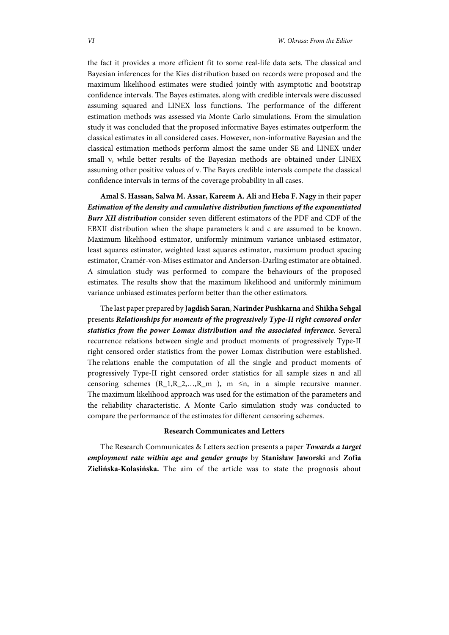the fact it provides a more efficient fit to some real-life data sets. The classical and Bayesian inferences for the Kies distribution based on records were proposed and the maximum likelihood estimates were studied jointly with asymptotic and bootstrap confidence intervals. The Bayes estimates, along with credible intervals were discussed assuming squared and LINEX loss functions. The performance of the different estimation methods was assessed via Monte Carlo simulations. From the simulation study it was concluded that the proposed informative Bayes estimates outperform the classical estimates in all considered cases. However, non-informative Bayesian and the classical estimation methods perform almost the same under SE and LINEX under small ν, while better results of the Bayesian methods are obtained under LINEX assuming other positive values of ν. The Bayes credible intervals compete the classical confidence intervals in terms of the coverage probability in all cases.

**Amal S. Hassan, Salwa M. Assar, Kareem A. Ali** and **Heba F. Nagy** in their paper *Estimation of the density and cumulative distribution functions of the exponentiated Burr XII distribution* consider seven different estimators of the PDF and CDF of the EBXII distribution when the shape parameters k and c are assumed to be known. Maximum likelihood estimator, uniformly minimum variance unbiased estimator, least squares estimator, weighted least squares estimator, maximum product spacing estimator, Cramér-von-Mises estimator and Anderson-Darling estimator are obtained. A simulation study was performed to compare the behaviours of the proposed estimates. The results show that the maximum likelihood and uniformly minimum variance unbiased estimates perform better than the other estimators.

The last paper prepared by **Jagdish Saran**, **Narinder Pushkarna** and **Shikha Sehgal** presents *Relationships for moments of the progressively Type-II right censored order statistics from the power Lomax distribution and the associated inference*. Several recurrence relations between single and product moments of progressively Type-II right censored order statistics from the power Lomax distribution were established. The relations enable the computation of all the single and product moments of progressively Type-II right censored order statistics for all sample sizes n and all censoring schemes  $(R_1, R_2, \ldots, R_m)$ , m  $\leq n$ , in a simple recursive manner. The maximum likelihood approach was used for the estimation of the parameters and the reliability characteristic. A Monte Carlo simulation study was conducted to compare the performance of the estimates for different censoring schemes.

## **Research Communicates and Letters**

The Research Communicates & Letters section presents a paper *Towards a target employment rate within age and gender groups* by **Stanisław Jaworski** and **Zofia Zielińska-Kolasińska.** The aim of the article was to state the prognosis about